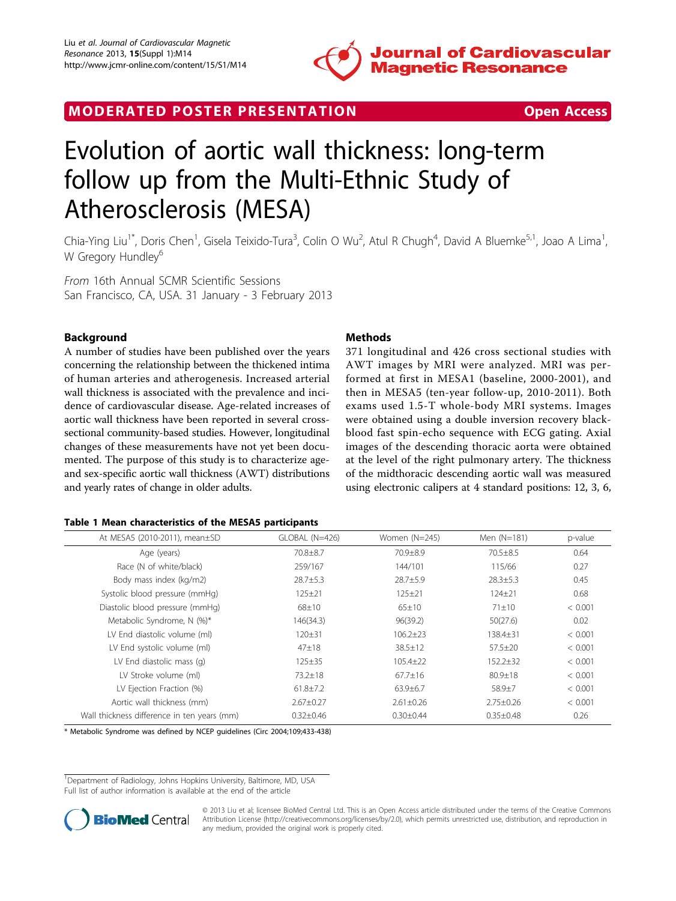

## <span id="page-0-0"></span>MODERATED POSTER PRESENTATION **SECURE 20 SET ACCESS**

# Evolution of aortic wall thickness: long-term follow up from the Multi-Ethnic Study of Atherosclerosis (MESA)

Chia-Ying Liu<sup>1\*</sup>, Doris Chen<sup>1</sup>, Gisela Teixido-Tura<sup>3</sup>, Colin O Wu<sup>2</sup>, Atul R Chugh<sup>4</sup>, David A Bluemke<sup>5,1</sup>, Joao A Lima<sup>1</sup> , W Gregory Hundley<sup>6</sup>

From 16th Annual SCMR Scientific Sessions San Francisco, CA, USA. 31 January - 3 February 2013

### Background

A number of studies have been published over the years concerning the relationship between the thickened intima of human arteries and atherogenesis. Increased arterial wall thickness is associated with the prevalence and incidence of cardiovascular disease. Age-related increases of aortic wall thickness have been reported in several crosssectional community-based studies. However, longitudinal changes of these measurements have not yet been documented. The purpose of this study is to characterize ageand sex-specific aortic wall thickness (AWT) distributions and yearly rates of change in older adults.

#### **Methods**

371 longitudinal and 426 cross sectional studies with AWT images by MRI were analyzed. MRI was performed at first in MESA1 (baseline, 2000-2001), and then in MESA5 (ten-year follow-up, 2010-2011). Both exams used 1.5-T whole-body MRI systems. Images were obtained using a double inversion recovery blackblood fast spin-echo sequence with ECG gating. Axial images of the descending thoracic aorta were obtained at the level of the right pulmonary artery. The thickness of the midthoracic descending aortic wall was measured using electronic calipers at 4 standard positions: 12, 3, 6,

#### Table 1 Mean characteristics of the MESA5 participants

| At MESA5 (2010-2011), mean±SD               | GLOBAL (N=426)  | Women (N=245)   | Men (N=181)     | p-value |
|---------------------------------------------|-----------------|-----------------|-----------------|---------|
| Age (years)                                 | 70.8±8.7        | 70.9±8.9        | $70.5 \pm 8.5$  | 0.64    |
| Race (N of white/black)                     | 259/167         | 144/101         | 115/66          | 0.27    |
| Body mass index (kg/m2)                     | $28.7 + 5.3$    | $28.7 + 5.9$    | $28.3 \pm 5.3$  | 0.45    |
| Systolic blood pressure (mmHg)              | $125 \pm 21$    | $125 + 21$      | $124 + 21$      | 0.68    |
| Diastolic blood pressure (mmHg)             | 68±10           | $65 \pm 10$     | $71 \pm 10$     | < 0.001 |
| Metabolic Syndrome, N (%)*                  | 146(34.3)       | 96(39.2)        | 50(27.6)        | 0.02    |
| LV End diastolic volume (ml)                | $120 \pm 31$    | $106.2 \pm 23$  | $138.4 \pm 31$  | < 0.001 |
| LV End systolic volume (ml)                 | $47 \pm 18$     | $38.5 \pm 12$   | $57.5 \pm 20$   | < 0.001 |
| LV End diastolic mass (q)                   | $125 \pm 35$    | $105.4 \pm 22$  | $152.2 \pm 32$  | < 0.001 |
| LV Stroke volume (ml)                       | $73.2 \pm 18$   | $67.7 \pm 16$   | $80.9 \pm 18$   | < 0.001 |
| LV Ejection Fraction (%)                    | $61.8 \pm 7.2$  | $63.9 \pm 6.7$  | $58.9 + 7$      | < 0.001 |
| Aortic wall thickness (mm)                  | $2.67 \pm 0.27$ | $2.61 \pm 0.26$ | $2.75 \pm 0.26$ | < 0.001 |
| Wall thickness difference in ten years (mm) | $0.32 \pm 0.46$ | $0.30 \pm 0.44$ | $0.35 \pm 0.48$ | 0.26    |

\* Metabolic Syndrome was defined by NCEP guidelines (Circ 2004;109;433-438)

<sup>1</sup>Department of Radiology, Johns Hopkins University, Baltimore, MD, USA Full list of author information is available at the end of the article



© 2013 Liu et al; licensee BioMed Central Ltd. This is an Open Access article distributed under the terms of the Creative Commons Attribution License [\(http://creativecommons.org/licenses/by/2.0](http://creativecommons.org/licenses/by/2.0)), which permits unrestricted use, distribution, and reproduction in any medium, provided the original work is properly cited.